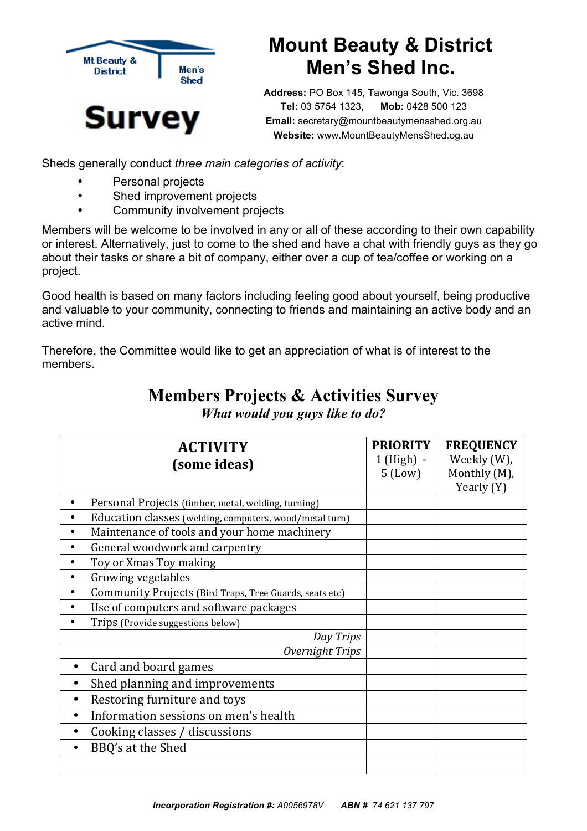

## **Mount Beauty & District Men's Shed Inc.**

**Address:** PO Box 145, Tawonga South, Vic. 3698 **Tel:** 03 5754 1323, **Mob:** 0428 500 123 **Email:** secretary@mountbeautymensshed.org.au **Website:** www.MountBeautyMensShed.og.au

Sheds generally conduct *three main categories of activity*:

- Personal projects
- Shed improvement projects
- Community involvement projects

Members will be welcome to be involved in any or all of these according to their own capability or interest. Alternatively, just to come to the shed and have a chat with friendly guys as they go about their tasks or share a bit of company, either over a cup of tea/coffee or working on a project.

Good health is based on many factors including feeling good about yourself, being productive and valuable to your community, connecting to friends and maintaining an active body and an active mind.

Therefore, the Committee would like to get an appreciation of what is of interest to the members.

| <b>ACTIVITY</b><br>(some ideas)                         | <b>PRIORITY</b><br>$1$ (High) -<br>$5$ (Low) | <b>FREQUENCY</b><br>Weekly (W),<br>Monthly (M),<br>Yearly (Y) |
|---------------------------------------------------------|----------------------------------------------|---------------------------------------------------------------|
| Personal Projects (timber, metal, welding, turning)     |                                              |                                                               |
| Education classes (welding, computers, wood/metal turn) |                                              |                                                               |
| Maintenance of tools and your home machinery            |                                              |                                                               |
| General woodwork and carpentry                          |                                              |                                                               |
| Toy or Xmas Toy making<br>٠                             |                                              |                                                               |
| Growing vegetables<br>$\bullet$                         |                                              |                                                               |
| Community Projects (Bird Traps, Tree Guards, seats etc) |                                              |                                                               |
| Use of computers and software packages                  |                                              |                                                               |
| Trips (Provide suggestions below)                       |                                              |                                                               |
| Day Trips                                               |                                              |                                                               |
| Overnight Trips                                         |                                              |                                                               |
| Card and board games<br>$\bullet$                       |                                              |                                                               |
| Shed planning and improvements                          |                                              |                                                               |
| Restoring furniture and toys<br>$\bullet$               |                                              |                                                               |
| Information sessions on men's health<br>$\bullet$       |                                              |                                                               |
| Cooking classes / discussions<br>$\bullet$              |                                              |                                                               |
| BBQ's at the Shed<br>$\bullet$                          |                                              |                                                               |
|                                                         |                                              |                                                               |

## **Members Projects & Activities Survey**

*What would you guys like to do?*